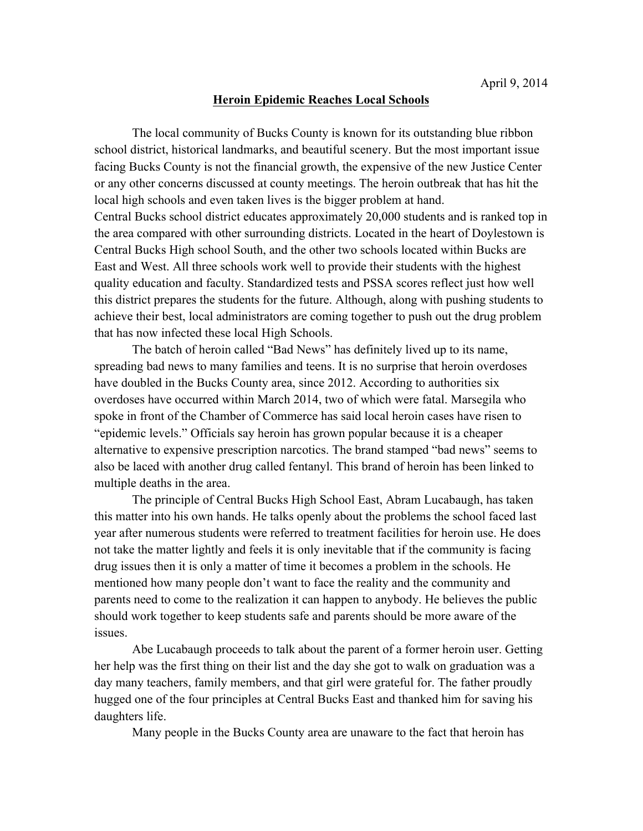## **Heroin Epidemic Reaches Local Schools**

The local community of Bucks County is known for its outstanding blue ribbon school district, historical landmarks, and beautiful scenery. But the most important issue facing Bucks County is not the financial growth, the expensive of the new Justice Center or any other concerns discussed at county meetings. The heroin outbreak that has hit the local high schools and even taken lives is the bigger problem at hand.

Central Bucks school district educates approximately 20,000 students and is ranked top in the area compared with other surrounding districts. Located in the heart of Doylestown is Central Bucks High school South, and the other two schools located within Bucks are East and West. All three schools work well to provide their students with the highest quality education and faculty. Standardized tests and PSSA scores reflect just how well this district prepares the students for the future. Although, along with pushing students to achieve their best, local administrators are coming together to push out the drug problem that has now infected these local High Schools.

The batch of heroin called "Bad News" has definitely lived up to its name, spreading bad news to many families and teens. It is no surprise that heroin overdoses have doubled in the Bucks County area, since 2012. According to authorities six overdoses have occurred within March 2014, two of which were fatal. Marsegila who spoke in front of the Chamber of Commerce has said local heroin cases have risen to "epidemic levels." Officials say heroin has grown popular because it is a cheaper alternative to expensive prescription narcotics. The brand stamped "bad news" seems to also be laced with another drug called fentanyl. This brand of heroin has been linked to multiple deaths in the area.

The principle of Central Bucks High School East, Abram Lucabaugh, has taken this matter into his own hands. He talks openly about the problems the school faced last year after numerous students were referred to treatment facilities for heroin use. He does not take the matter lightly and feels it is only inevitable that if the community is facing drug issues then it is only a matter of time it becomes a problem in the schools. He mentioned how many people don't want to face the reality and the community and parents need to come to the realization it can happen to anybody. He believes the public should work together to keep students safe and parents should be more aware of the issues.

Abe Lucabaugh proceeds to talk about the parent of a former heroin user. Getting her help was the first thing on their list and the day she got to walk on graduation was a day many teachers, family members, and that girl were grateful for. The father proudly hugged one of the four principles at Central Bucks East and thanked him for saving his daughters life.

Many people in the Bucks County area are unaware to the fact that heroin has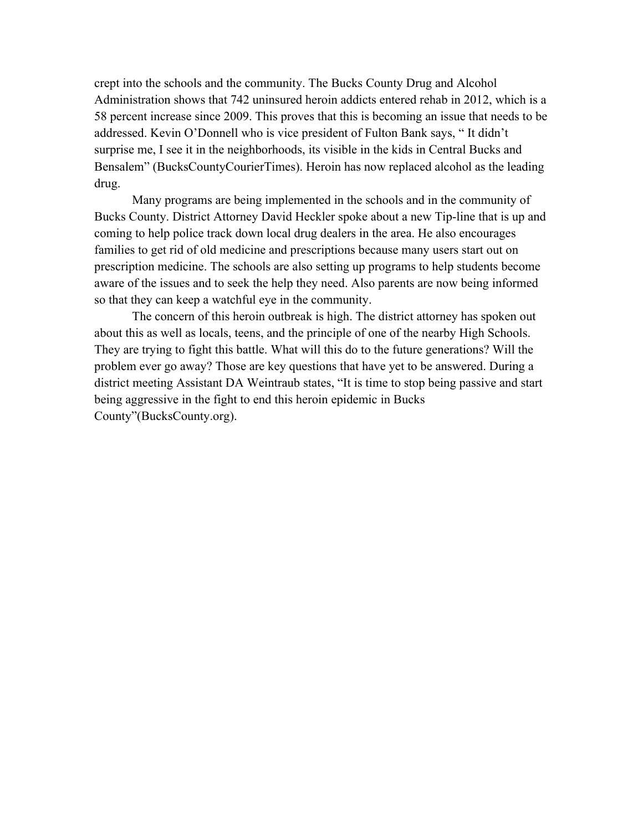crept into the schools and the community. The Bucks County Drug and Alcohol Administration shows that 742 uninsured heroin addicts entered rehab in 2012, which is a 58 percent increase since 2009. This proves that this is becoming an issue that needs to be addressed. Kevin O'Donnell who is vice president of Fulton Bank says, " It didn't surprise me, I see it in the neighborhoods, its visible in the kids in Central Bucks and Bensalem" (BucksCountyCourierTimes). Heroin has now replaced alcohol as the leading drug.

Many programs are being implemented in the schools and in the community of Bucks County. District Attorney David Heckler spoke about a new Tip-line that is up and coming to help police track down local drug dealers in the area. He also encourages families to get rid of old medicine and prescriptions because many users start out on prescription medicine. The schools are also setting up programs to help students become aware of the issues and to seek the help they need. Also parents are now being informed so that they can keep a watchful eye in the community.

The concern of this heroin outbreak is high. The district attorney has spoken out about this as well as locals, teens, and the principle of one of the nearby High Schools. They are trying to fight this battle. What will this do to the future generations? Will the problem ever go away? Those are key questions that have yet to be answered. During a district meeting Assistant DA Weintraub states, "It is time to stop being passive and start being aggressive in the fight to end this heroin epidemic in Bucks County"(BucksCounty.org).